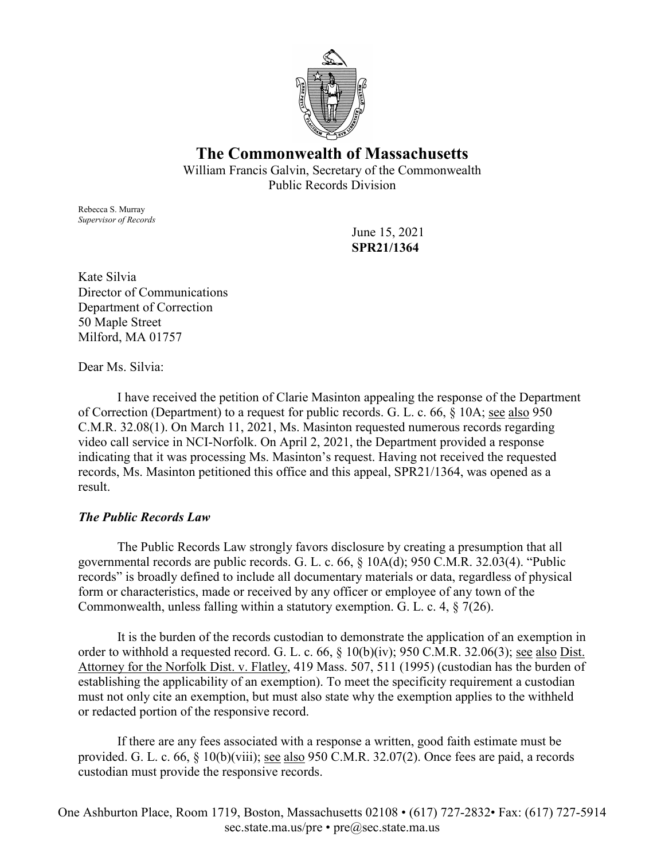

## **The Commonwealth of Massachusetts**

William Francis Galvin, Secretary of the Commonwealth Public Records Division

Rebecca S. Murray *Supervisor of Records*

June 15, 2021 **SPR21/1364**

Kate Silvia Director of Communications Department of Correction 50 Maple Street Milford, MA 01757

Dear Ms. Silvia:

I have received the petition of Clarie Masinton appealing the response of the Department of Correction (Department) to a request for public records. G. L. c. 66, § 10A; see also 950 C.M.R. 32.08(1). On March 11, 2021, Ms. Masinton requested numerous records regarding video call service in NCI-Norfolk. On April 2, 2021, the Department provided a response indicating that it was processing Ms. Masinton's request. Having not received the requested records, Ms. Masinton petitioned this office and this appeal, SPR21/1364, was opened as a result.

## *The Public Records Law*

The Public Records Law strongly favors disclosure by creating a presumption that all governmental records are public records. G. L. c. 66, § 10A(d); 950 C.M.R. 32.03(4). "Public records" is broadly defined to include all documentary materials or data, regardless of physical form or characteristics, made or received by any officer or employee of any town of the Commonwealth, unless falling within a statutory exemption. G. L. c. 4, § 7(26).

It is the burden of the records custodian to demonstrate the application of an exemption in order to withhold a requested record. G. L. c. 66, § 10(b)(iv); 950 C.M.R. 32.06(3); see also Dist. Attorney for the Norfolk Dist. v. Flatley, 419 Mass. 507, 511 (1995) (custodian has the burden of establishing the applicability of an exemption). To meet the specificity requirement a custodian must not only cite an exemption, but must also state why the exemption applies to the withheld or redacted portion of the responsive record.

If there are any fees associated with a response a written, good faith estimate must be provided. G. L. c. 66, § 10(b)(viii); see also 950 C.M.R. 32.07(2). Once fees are paid, a records custodian must provide the responsive records.